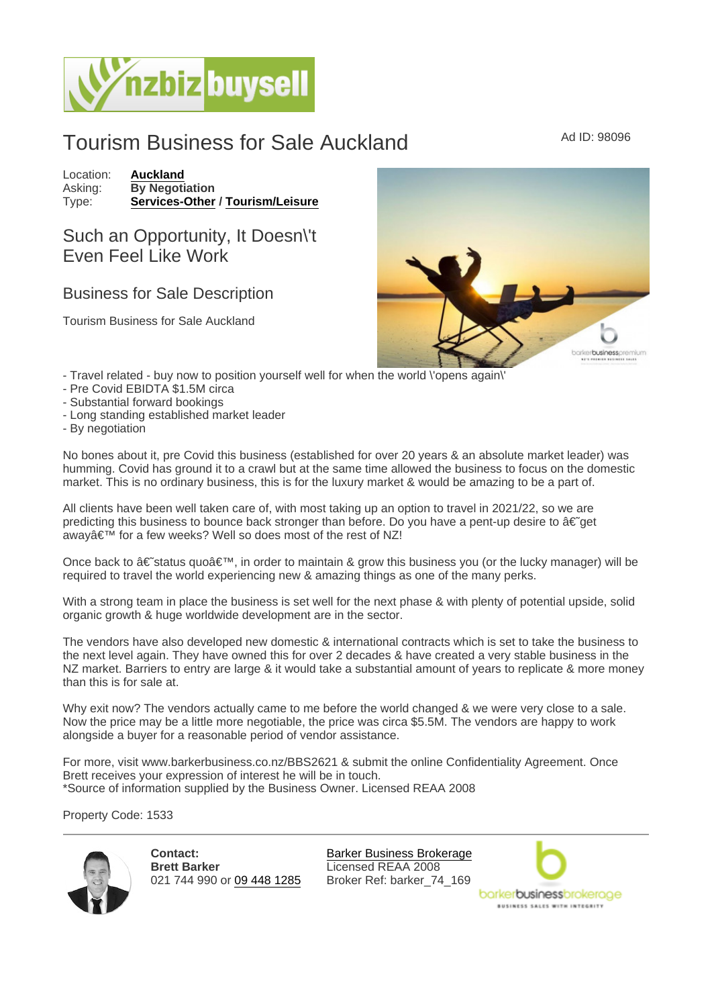## Tourism Business for Sale Auckland Ad ID: 98096

Location: [Auckland](https://www.nzbizbuysell.co.nz/businesses-for-sale/location/Auckland) Asking: By Negotiation<br>Type: Services-Other [Services-Other](https://www.nzbizbuysell.co.nz/businesses-for-sale/Services/New-Zealand) / [Tourism/Leisure](https://www.nzbizbuysell.co.nz/businesses-for-sale/Tourism--Leisure/New-Zealand)

## Such an Opportunity, It Doesn\'t Even Feel Like Work

## Business for Sale Description

Tourism Business for Sale Auckland

- Travel related buy now to position yourself well for when the world \'opens again\'
- Pre Covid EBIDTA \$1.5M circa
- Substantial forward bookings
- Long standing established market leader
- By negotiation

No bones about it, pre Covid this business (established for over 20 years & an absolute market leader) was humming. Covid has ground it to a crawl but at the same time allowed the business to focus on the domestic market. This is no ordinary business, this is for the luxury market & would be amazing to be a part of.

All clients have been well taken care of, with most taking up an option to travel in 2021/22, so we are predicting this business to bounce back stronger than before. Do you have a pent-up desire to  $\hat{a}\in \tilde{g}$ away' for a few weeks? Well so does most of the rest of NZ!

Once back to  $\hat{\mathbf{a}} \in \hat{\mathbf{s}}$  status quo $\hat{\mathbf{a}} \in \mathbb{N}$ , in order to maintain & grow this business you (or the lucky manager) will be required to travel the world experiencing new & amazing things as one of the many perks.

With a strong team in place the business is set well for the next phase & with plenty of potential upside, solid organic growth & huge worldwide development are in the sector.

The vendors have also developed new domestic & international contracts which is set to take the business to the next level again. They have owned this for over 2 decades & have created a very stable business in the NZ market. Barriers to entry are large & it would take a substantial amount of years to replicate & more money than this is for sale at.

Why exit now? The vendors actually came to me before the world changed & we were very close to a sale. Now the price may be a little more negotiable, the price was circa \$5.5M. The vendors are happy to work alongside a buyer for a reasonable period of vendor assistance.

For more, visit www.barkerbusiness.co.nz/BBS2621 & submit the online Confidentiality Agreement. Once Brett receives your expression of interest he will be in touch. \*Source of information supplied by the Business Owner. Licensed REAA 2008

Property Code: 1533

Contact: Brett Barker 021 744 990 or [09 448 1285](tel:09 448 1285)

[Barker Business Brokerage](https://www.nzbizbuysell.co.nz/business-brokers/96/barker-business-brokerage/brokerage-listings) Licensed REAA 2008 Broker Ref: barker\_74\_169